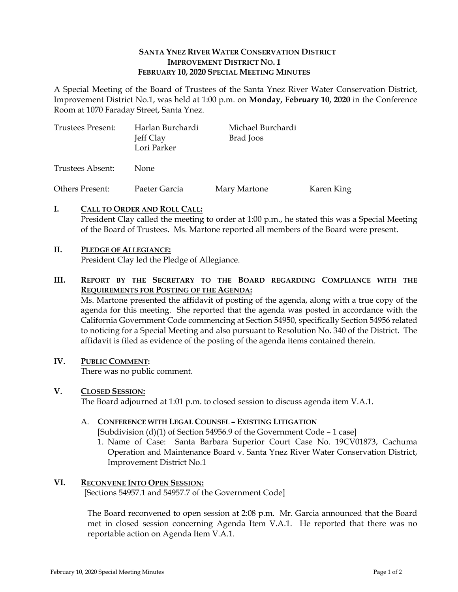#### **SANTA YNEZ RIVER WATER CONSERVATION DISTRICT IMPROVEMENT DISTRICT NO. 1 FEBRUARY 10, 2020 SPECIAL MEETING MINUTES**

A Special Meeting of the Board of Trustees of the Santa Ynez River Water Conservation District, Improvement District No.1, was held at 1:00 p.m. on **Monday, February 10, 2020** in the Conference Room at 1070 Faraday Street, Santa Ynez.

| Trustees Present: | Harlan Burchardi<br>Jeff Clay<br>Lori Parker | Michael Burchardi<br>Brad Joos |            |
|-------------------|----------------------------------------------|--------------------------------|------------|
| Trustees Absent:  | None.                                        |                                |            |
| Others Present:   | Paeter Garcia                                | Mary Martone                   | Karen King |

**I. CALL TO ORDER AND ROLL CALL:**  President Clay called the meeting to order at 1:00 p.m., he stated this was a Special Meeting of the Board of Trustees. Ms. Martone reported all members of the Board were present.

## **II. PLEDGE OF ALLEGIANCE:**

President Clay led the Pledge of Allegiance.

## **III. REPORT BY THE SECRETARY TO THE BOARD REGARDING COMPLIANCE WITH THE REQUIREMENTS FOR POSTING OF THE AGENDA:**

Ms. Martone presented the affidavit of posting of the agenda, along with a true copy of the agenda for this meeting. She reported that the agenda was posted in accordance with the California Government Code commencing at Section 54950, specifically Section 54956 related to noticing for a Special Meeting and also pursuant to Resolution No. 340 of the District. The affidavit is filed as evidence of the posting of the agenda items contained therein.

## **IV. PUBLIC COMMENT:**

There was no public comment.

#### **V. CLOSED SESSION:**

The Board adjourned at 1:01 p.m. to closed session to discuss agenda item V.A.1.

## A. **CONFERENCE WITH LEGAL COUNSEL – EXISTING LITIGATION**

[Subdivision (d)(1) of Section 54956.9 of the Government Code – 1 case]

1. Name of Case: Santa Barbara Superior Court Case No. 19CV01873, Cachuma Operation and Maintenance Board v. Santa Ynez River Water Conservation District, Improvement District No.1

## **VI. RECONVENE INTO OPEN SESSION:**

[Sections 54957.1 and 54957.7 of the Government Code]

The Board reconvened to open session at 2:08 p.m. Mr. Garcia announced that the Board met in closed session concerning Agenda Item V.A.1. He reported that there was no reportable action on Agenda Item V.A.1.